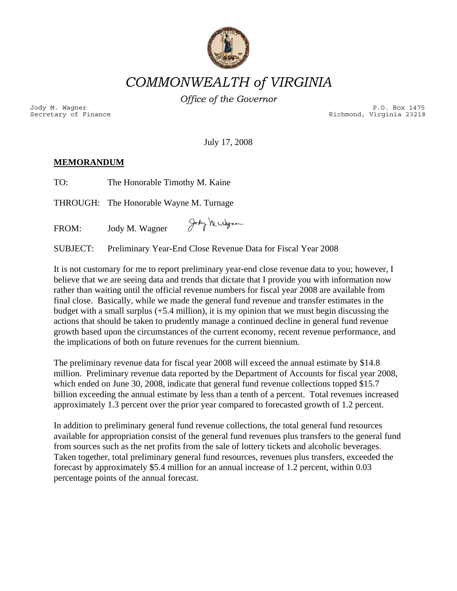

*COMMONWEALTH of VIRGINIA* 

*Office of the Governor*

Jody M. Wagner P.O. Box 1475<br>Secretary of Finance external property of the external property of the external property of the external prope<br>P.O. Box 1475 (P.O. Box 1475) Richmond, Virginia 23218

July 17, 2008

## **MEMORANDUM**

TO: The Honorable Timothy M. Kaine

THROUGH: The Honorable Wayne M. Turnage

Jody Ne citignen FROM: Jody M. Wagner

SUBJECT: Preliminary Year-End Close Revenue Data for Fiscal Year 2008

It is not customary for me to report preliminary year-end close revenue data to you; however, I believe that we are seeing data and trends that dictate that I provide you with information now rather than waiting until the official revenue numbers for fiscal year 2008 are available from final close. Basically, while we made the general fund revenue and transfer estimates in the budget with a small surplus (+5.4 million), it is my opinion that we must begin discussing the actions that should be taken to prudently manage a continued decline in general fund revenue growth based upon the circumstances of the current economy, recent revenue performance, and the implications of both on future revenues for the current biennium.

The preliminary revenue data for fiscal year 2008 will exceed the annual estimate by \$14.8 million. Preliminary revenue data reported by the Department of Accounts for fiscal year 2008, which ended on June 30, 2008, indicate that general fund revenue collections topped \$15.7 billion exceeding the annual estimate by less than a tenth of a percent. Total revenues increased approximately 1.3 percent over the prior year compared to forecasted growth of 1.2 percent.

In addition to preliminary general fund revenue collections, the total general fund resources available for appropriation consist of the general fund revenues plus transfers to the general fund from sources such as the net profits from the sale of lottery tickets and alcoholic beverages. Taken together, total preliminary general fund resources, revenues plus transfers, exceeded the forecast by approximately \$5.4 million for an annual increase of 1.2 percent, within 0.03 percentage points of the annual forecast.